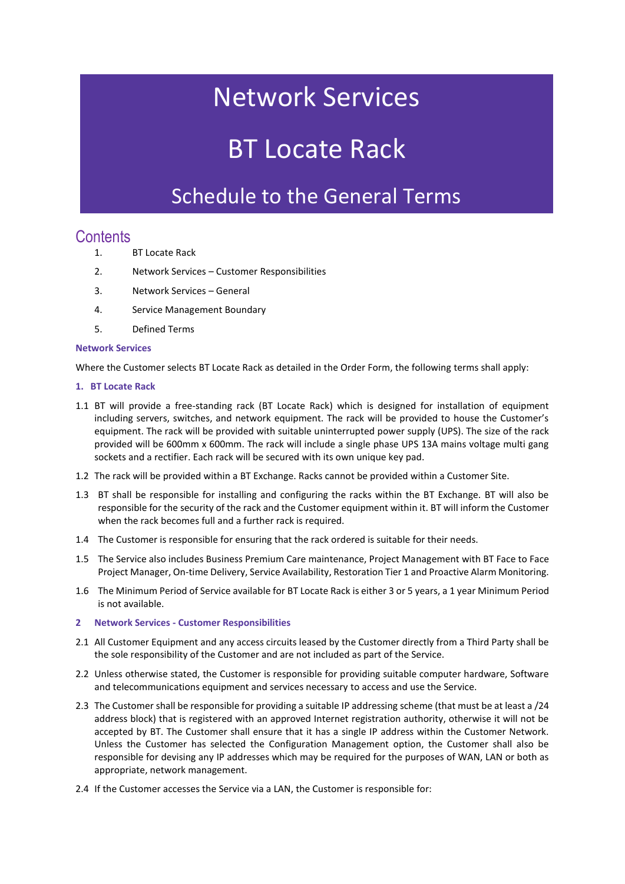## Network Services

# BT Locate Rack

### Schedule to the General Terms

### **Contents**

- 1. BT Locate Rack
- 2. Network Services Customer Responsibilities
- 3. Network Services General
- 4. Service Management Boundary
- 5. Defined Terms

#### **Network Services**

Where the Customer selects BT Locate Rack as detailed in the Order Form, the following terms shall apply:

#### **1. BT Locate Rack**

- 1.1 BT will provide a free-standing rack (BT Locate Rack) which is designed for installation of equipment including servers, switches, and network equipment. The rack will be provided to house the Customer's equipment. The rack will be provided with suitable uninterrupted power supply (UPS). The size of the rack provided will be 600mm x 600mm. The rack will include a single phase UPS 13A mains voltage multi gang sockets and a rectifier. Each rack will be secured with its own unique key pad.
- 1.2 The rack will be provided within a BT Exchange. Racks cannot be provided within a Customer Site.
- 1.3 BT shall be responsible for installing and configuring the racks within the BT Exchange. BT will also be responsible for the security of the rack and the Customer equipment within it. BT will inform the Customer when the rack becomes full and a further rack is required.
- 1.4 The Customer is responsible for ensuring that the rack ordered is suitable for their needs.
- 1.5 The Service also includes Business Premium Care maintenance, Project Management with BT Face to Face Project Manager, On-time Delivery, Service Availability, Restoration Tier 1 and Proactive Alarm Monitoring.
- 1.6 The Minimum Period of Service available for BT Locate Rack is either 3 or 5 years, a 1 year Minimum Period is not available.
- **2 Network Services - Customer Responsibilities**
- 2.1 All Customer Equipment and any access circuits leased by the Customer directly from a Third Party shall be the sole responsibility of the Customer and are not included as part of the Service.
- 2.2 Unless otherwise stated, the Customer is responsible for providing suitable computer hardware, Software and telecommunications equipment and services necessary to access and use the Service.
- 2.3 The Customer shall be responsible for providing a suitable IP addressing scheme (that must be at least a /24 address block) that is registered with an approved Internet registration authority, otherwise it will not be accepted by BT. The Customer shall ensure that it has a single IP address within the Customer Network. Unless the Customer has selected the Configuration Management option, the Customer shall also be responsible for devising any IP addresses which may be required for the purposes of WAN, LAN or both as appropriate, network management.
- 2.4 If the Customer accesses the Service via a LAN, the Customer is responsible for: